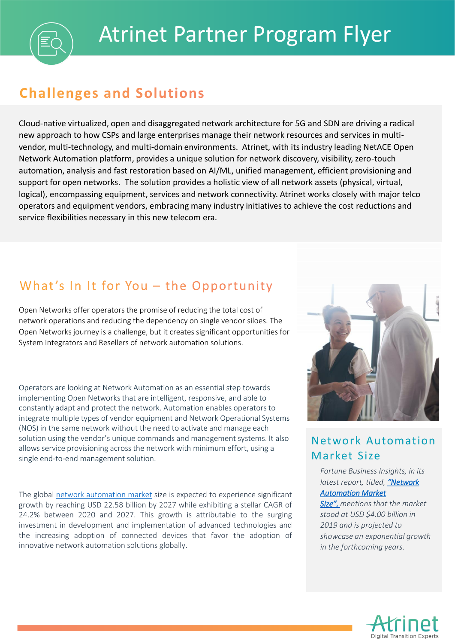# **Challenges and Solutions**

Cloud-native virtualized, open and disaggregated network architecture for 5G and SDN are driving a radical new approach to how CSPs and large enterprises manage their network resources and services in multivendor, multi-technology, and multi-domain environments. Atrinet, with its industry leading NetACE Open Network Automation platform, provides a unique solution for network discovery, visibility, zero-touch automation, analysis and fast restoration based on AI/ML, unified management, efficient provisioning and support for open networks. The solution provides a holistic view of all network assets (physical, virtual, logical), encompassing equipment, services and network connectivity. Atrinet works closely with major telco operators and equipment vendors, embracing many industry initiatives to achieve the cost reductions and service flexibilities necessary in this new telecom era.

## What's In It for You - the Opportunity

Open Networks offer operators the promise of reducing the total cost of network operations and reducing the dependency on single vendor siloes. The Open Networks journey is a challenge, but it creates significant opportunities for System Integrators and Resellers of network automation solutions.

Operators are looking at Network Automation as an essential step towards implementing Open Networks that are intelligent, responsive, and able to constantly adapt and protect the network. Automation enables operators to integrate multiple types of vendor equipment and Network Operational Systems (NOS) in the same network without the need to activate and manage each solution using the vendor's unique commands and management systems. It also allows service provisioning across the network with minimum effort, using a single end-to-end management solution.

The global network [automation](https://www.globenewswire.com/Tracker?data=9Gnt98AFBRAKDTWH6P3xALqiurU78GqCqe43x-4Gp659F0vi2D0oJ2750cJ6UhJ6ZneniTZ_-2EHlognckGEYK8y1SAVZEB_ZYf4zLAwq8n3hLPMCzzqmI1HjtE1Or2MJGxWKE-W6SphV2G-LqXJmWNiaq8cGGwZyeM4U8_cVBw=) market size is expected to experience significant growth by reaching USD 22.58 billion by 2027 while exhibiting a stellar CAGR of 24.2% between 2020 and 2027. This growth is attributable to the surging investment in development and implementation of advanced technologies and the increasing adoption of connected devices that favor the adoption of innovative network automation solutions globally.



### Network Automation Market Size

*Fortune Business Insights, in its latest report, titled, "Network Automation Market* 

*Size", [mentions that the mark](https://www.fortunebusinessinsights.com/network-automation-market-104466)et stood at USD \$4.00 billion in 2019 and is projected to showcase an exponential growth in the forthcoming years.*

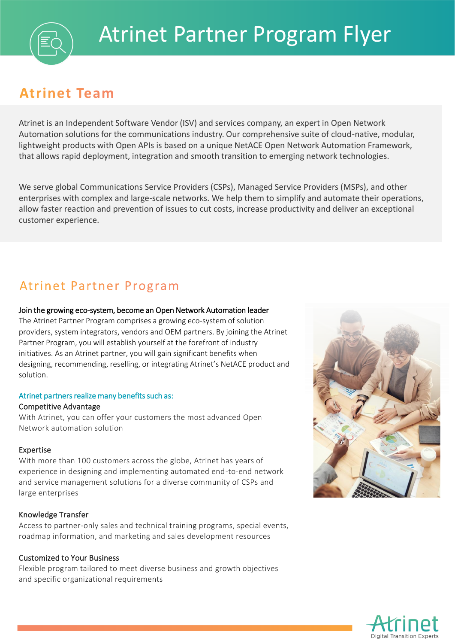# **Atrinet Team**

Atrinet is an Independent Software Vendor (ISV) and services company, an expert in Open Network Automation solutions for the communications industry. Our comprehensive suite of cloud-native, modular, lightweight products with Open APIs is based on a unique NetACE Open Network Automation Framework, that allows rapid deployment, integration and smooth transition to emerging network technologies.

We serve global Communications Service Providers (CSPs), Managed Service Providers (MSPs), and other enterprises with complex and large-scale networks. We help them to simplify and automate their operations, allow faster reaction and prevention of issues to cut costs, increase productivity and deliver an exceptional customer experience.

### Atrinet Partner Program

#### Join the growing eco-system, become an Open Network Automation leader

The Atrinet Partner Program comprises a growing eco-system of solution providers, system integrators, vendors and OEM partners. By joining the Atrinet Partner Program, you will establish yourself at the forefront of industry initiatives. As an Atrinet partner, you will gain significant benefits when designing, recommending, reselling, or integrating Atrinet's NetACE product and solution.

#### Atrinet partners realize many benefits such as:

#### Competitive Advantage

With Atrinet, you can offer your customers the most advanced Open Network automation solution

#### Expertise

With more than 100 customers across the globe, Atrinet has years of experience in designing and implementing automated end-to-end network and service management solutions for a diverse community of CSPs and large enterprises

#### Knowledge Transfer

Access to partner-only sales and technical training programs, special events, roadmap information, and marketing and sales development resources

#### Customized to Your Business

Flexible program tailored to meet diverse business and growth objectives and specific organizational requirements